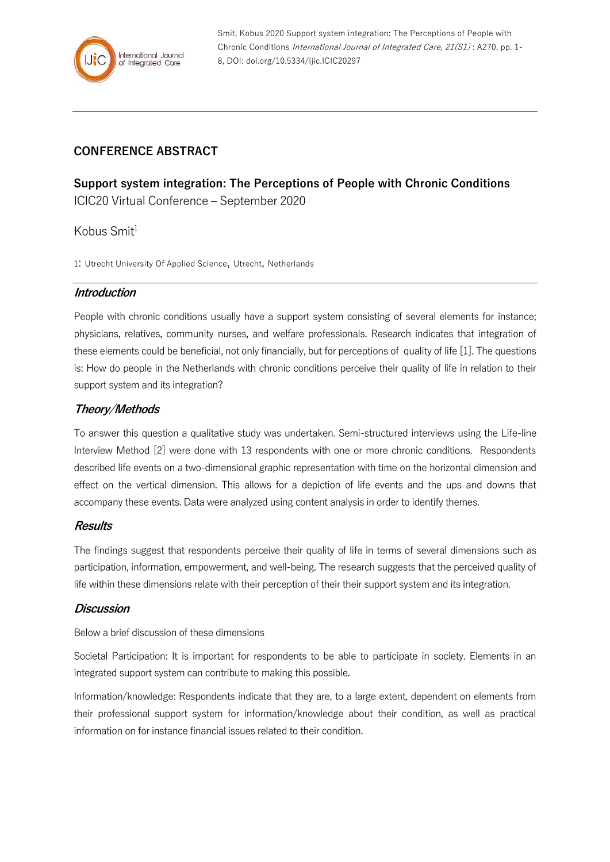

Smit, Kobus 2020 Support system integration: The Perceptions of People with Chronic Conditions International Journal of Integrated Care, 21(S1) : A270, pp. 1- 8, DOI: doi.org/10.5334/ijic.ICIC20297

# **CONFERENCE ABSTRACT**

**Support system integration: The Perceptions of People with Chronic Conditions** ICIC20 Virtual Conference – September 2020

Kobus  $Smit<sup>1</sup>$ 

1: Utrecht University Of Applied Science, Utrecht, Netherlands

#### **Introduction**

People with chronic conditions usually have a support system consisting of several elements for instance; physicians, relatives, community nurses, and welfare professionals. Research indicates that integration of these elements could be beneficial, not only financially, but for perceptions of quality of life [1]. The questions is: How do people in the Netherlands with chronic conditions perceive their quality of life in relation to their support system and its integration?

## **Theory/Methods**

To answer this question a qualitative study was undertaken. Semi-structured interviews using the Life-line Interview Method [2] were done with 13 respondents with one or more chronic conditions. Respondents described life events on a two-dimensional graphic representation with time on the horizontal dimension and effect on the vertical dimension. This allows for a depiction of life events and the ups and downs that accompany these events. Data were analyzed using content analysis in order to identify themes.

#### **Results**

The findings suggest that respondents perceive their quality of life in terms of several dimensions such as participation, information, empowerment, and well-being. The research suggests that the perceived quality of life within these dimensions relate with their perception of their their support system and its integration.

#### **Discussion**

Below a brief discussion of these dimensions

Societal Participation: It is important for respondents to be able to participate in society. Elements in an integrated support system can contribute to making this possible.

Information/knowledge: Respondents indicate that they are, to a large extent, dependent on elements from their professional support system for information/knowledge about their condition, as well as practical information on for instance financial issues related to their condition.